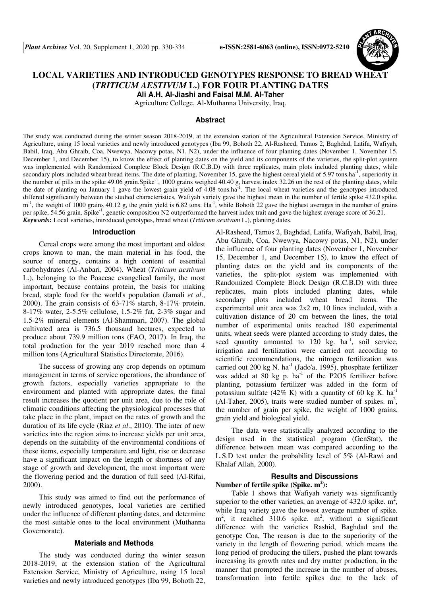

# **LOCAL VARIETIES AND INTRODUCED GENOTYPES RESPONSE TO BREAD WHEAT (***TRITICUM AESTIVUM* **L.) FOR FOUR PLANTING DATES Ali A.H. Al-Jiashi and Faisal M.M. Al-Taher**

Agriculture College, Al-Muthanna University, Iraq.

## **Abstract**

The study was conducted during the winter season 2018-2019, at the extension station of the Agricultural Extension Service, Ministry of Agriculture, using 15 local varieties and newly introduced genotypes (Iba 99, Bohoth 22, Al-Rasheed, Tamos 2, Baghdad, Latifa, Wafiyah, Babil, Iraq, Abu Ghraib, Coa, Nwewya, Nacowy potas, N1, N2), under the influence of four planting dates (November 1, November 15, December 1, and December 15), to know the effect of planting dates on the yield and its components of the varieties, the split-plot system was implemented with Randomized Complete Block Design (R.C.B.D) with three replicates, main plots included planting dates, while secondary plots included wheat bread items. The date of planting, November 15, gave the highest cereal yield of 5.97 tons.ha<sup>-1</sup>, superiority in the number of pills in the spike 49.06 grain.Spike<sup>-1</sup>, 1000 grains weighed 40.40 g, harvest index 32.26 on the rest of the planting dates, while the date of planting on January 1 gave the lowest grain yield of 4.08 tons.ha-1. The local wheat varieties and the genotypes introduced differed significantly between the studied characteristics, Wafiyah variety gave the highest mean in the number of fertile spike 432.0 spike.  $m<sup>-1</sup>$ , the weight of 1000 grains 40.12 g, the grain yield is 6.82 tons. Ha<sup>-1</sup>, while Bohoth 22 gave the highest averages in the number of grains per spike, 54.56 grain. Spike-1, genetic composition N2 outperformed the harvest index trait and gave the highest average score of 36.21. *Keywords***:** Local varieties, introduced genotypes, bread wheat (*Triticum aestivum* L.), planting dates.

#### **Introduction**

Cereal crops were among the most important and oldest crops known to man, the main material in his food, the source of energy, contains a high content of essential carbohydrates (Al-Anbari, 2004). Wheat (*Triticum aestivum* L.), belonging to the Poaceae evangelical family, the most important, because contains protein, the basis for making bread, staple food for the world's population (Jamali *et al*., 2000). The grain consists of 63-71% starch, 8-17% protein, 8-17% water, 2-5.5% cellulose, 1.5-2% fat, 2-3% sugar and 1.5-2% mineral elements (Al-Shammari, 2007). The global cultivated area is 736.5 thousand hectares, expected to produce about 739.9 million tons (FAO, 2017). In Iraq, the total production for the year 2019 reached more than 4 million tons (Agricultural Statistics Directorate, 2016).

The success of growing any crop depends on optimum management in terms of service operations, the abundance of growth factors, especially varieties appropriate to the environment and planted with appropriate dates, the final result increases the quotient per unit area, due to the role of climatic conditions affecting the physiological processes that take place in the plant, impact on the rates of growth and the duration of its life cycle (Riaz *et al*., 2010). The inter of new varieties into the region aims to increase yields per unit area, depends on the suitability of the environmental conditions of these items, especially temperature and light, rise or decrease have a significant impact on the length or shortness of any stage of growth and development, the most important were the flowering period and the duration of full seed (Al-Rifai, 2000).

This study was aimed to find out the performance of newly introduced genotypes, local varieties are certified under the influence of different planting dates, and determine the most suitable ones to the local environment (Muthanna Governorate).

### **Materials and Methods**

The study was conducted during the winter season 2018-2019, at the extension station of the Agricultural Extension Service, Ministry of Agriculture, using 15 local varieties and newly introduced genotypes (Iba 99, Bohoth 22, Al-Rasheed, Tamos 2, Baghdad, Latifa, Wafiyah, Babil, Iraq, Abu Ghraib, Coa, Nwewya, Nacowy potas, N1, N2), under the influence of four planting dates (November 1, November 15, December 1, and December 15), to know the effect of planting dates on the yield and its components of the varieties, the split-plot system was implemented with Randomized Complete Block Design (R.C.B.D) with three replicates, main plots included planting dates, while secondary plots included wheat bread items. The experimental unit area was 2x2 m, 10 lines included, with a cultivation distance of 20 cm between the lines, the total number of experimental units reached 180 experimental units, wheat seeds were planted according to study dates, the seed quantity amounted to  $120 \text{ kg}$ . ha<sup>-1</sup>, soil service, irrigation and fertilization were carried out according to scientific recommendations, the nitrogen fertilization was carried out 200 kg N. ha<sup>-1</sup> (Jado'a, 1995), phosphate fertilizer was added at 80 kg p.  $ha^{-1}$  of the P2O5 fertilizer before planting, potassium fertilizer was added in the form of potassium sulfate (42% K) with a quantity of 60 kg K.  $ha^{-1}$ (Al-Taher, 2005), traits were studied number of spikes.  $m^2$ , the number of grain per spike, the weight of 1000 grains, grain yield and biological yield.

The data were statistically analyzed according to the design used in the statistical program (GenStat), the difference between mean was compared according to the L.S.D test under the probability level of 5% (Al-Rawi and Khalaf Allah, 2000).

# **Results and Discussions Number of fertile spike (Spike. m<sup>2</sup> ):**

Table 1 shows that Wafiyah variety was significantly superior to the other varieties, an average of  $432.0$  spike.  $m^2$ , while Iraq variety gave the lowest average number of spike.  $m<sup>2</sup>$ , it reached 310.6 spike.  $m<sup>2</sup>$ , without a significant difference with the varieties Rashid, Baghdad and the genotype Coa, The reason is due to the superiority of the variety in the length of flowering period, which means the long period of producing the tillers, pushed the plant towards increasing its growth rates and dry matter production, in the manner that prompted the increase in the number of abuses, transformation into fertile spikes due to the lack of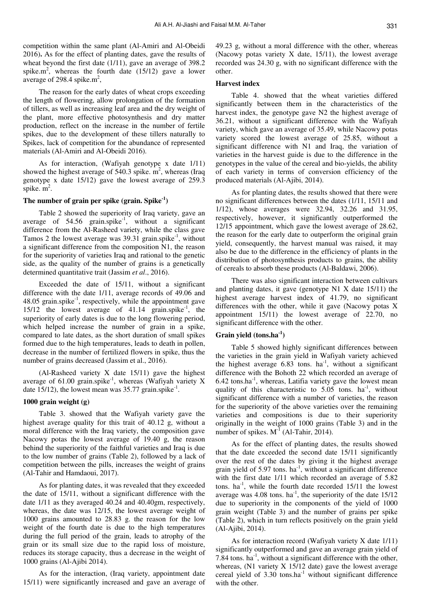competition within the same plant (Al-Amiri and Al-Obeidi 2016)**.** As for the effect of planting dates, gave the results of wheat beyond the first date (1/11), gave an average of 398.2 spike.m<sup>2</sup>, whereas the fourth date  $(15/12)$  gave a lower average of 298.4 spike. $m^2$ ,

The reason for the early dates of wheat crops exceeding the length of flowering, allow prolongation of the formation of tillers, as well as increasing leaf area and the dry weight of the plant, more effective photosynthesis and dry matter production, reflect on the increase in the number of fertile spikes, due to the development of these tillers naturally to Spikes, lack of competition for the abundance of represented materials (Al-Amiri and Al-Obeidi 2016).

As for interaction, (Wafiyah genotype x date 1/11) showed the highest average of  $540.3$  spike.  $m^2$ , whereas (Iraq genotype x date 15/12) gave the lowest average of 259.3 spike.  $m^2$ .

# **The number of grain per spike (grain. Spike-1)**

Table 2 showed the superiority of Iraq variety, gave an average of  $54.56$  grain.spike<sup>-1</sup>, without a significant difference from the Al-Rasheed variety, while the class gave Tamos 2 the lowest average was  $39.31$  grain.spike<sup>-1</sup>, without a significant difference from the composition N1, the reason for the superiority of varieties Iraq and rational to the genetic side, as the quality of the number of grains is a genetically determined quantitative trait (Jassim *et al*., 2016).

Exceeded the date of 15/11, without a significant difference with the date 1/11, average records of 49.06 and  $48.05$  grain.spike<sup>-1</sup>, respectively, while the appointment gave 15/12 the lowest average of  $41.14$  grain.spike<sup>-1</sup>, the superiority of early dates is due to the long flowering period, which helped increase the number of grain in a spike, compared to late dates, as the short duration of small spikes formed due to the high temperatures, leads to death in pollen, decrease in the number of fertilized flowers in spike, thus the number of grains decreased (Jassim et al., 2016).

(Al-Rasheed variety X date 15/11) gave the highest average of  $61.00$  grain.spike<sup>-1</sup>, whereas (Wafiyah variety X date 15/12), the lowest mean was  $35.77$  grain.spike<sup>-1</sup>.

#### **1000 grain weight (g)**

Table 3. showed that the Wafiyah variety gave the highest average quality for this trait of 40.12 g, without a moral difference with the Iraq variety, the composition gave Nacowy potas the lowest average of 19.40 g, the reason behind the superiority of the faithful varieties and Iraq is due to the low number of grains (Table 2), followed by a lack of competition between the pills, increases the weight of grains (Al-Tahir and Hamdaoui, 2017).

As for planting dates, it was revealed that they exceeded the date of 15/11, without a significant difference with the date 1/11 as they averaged 40.24 and 40.40gm, respectively, whereas, the date was 12/15, the lowest average weight of 1000 grains amounted to 28.83 g. the reason for the low weight of the fourth date is due to the high temperatures during the full period of the grain, leads to atrophy of the grain or its small size due to the rapid loss of moisture, reduces its storage capacity, thus a decrease in the weight of 1000 grains (Al-Ajibi 2014).

As for the interaction, (Iraq variety, appointment date 15/11) were significantly increased and gave an average of

49.23 g, without a moral difference with the other, whereas (Nacowy potas variety X date, 15/11), the lowest average recorded was 24.30 g, with no significant difference with the other.

# **Harvest index**

Table 4. showed that the wheat varieties differed significantly between them in the characteristics of the harvest index, the genotype gave N2 the highest average of 36.21, without a significant difference with the Wafiyah variety, which gave an average of 35.49, while Nacowy potas variety scored the lowest average of 25.85, without a significant difference with N1 and Iraq, the variation of varieties in the harvest guide is due to the difference in the genotypes in the value of the cereal and bio-yields, the ability of each variety in terms of conversion efficiency of the produced materials (Al-Ajibi, 2014).

As for planting dates, the results showed that there were no significant differences between the dates (1/11, 15/11 and 1/12), whose averages were 32.94, 32.26 and 31.95, respectively, however, it significantly outperformed the 12/15 appointment, which gave the lowest average of 28.62, the reason for the early date to outperform the original grain yield, consequently, the harvest manual was raised, it may also be due to the difference in the efficiency of plants in the distribution of photosynthesis products to grains, the ability of cereals to absorb these products (Al-Baldawi, 2006).

There was also significant interaction between cultivars and planting dates, it gave (genotype N1 X date 15/11) the highest average harvest index of 41.79, no significant differences with the other, while it gave (Nacowy potas X appointment 15/11) the lowest average of 22.70, no significant difference with the other.

#### **Grain yield (tons.ha-1)**

Table 5 showed highly significant differences between the varieties in the grain yield in Wafiyah variety achieved the highest average  $6.83$  tons. ha<sup>-1</sup>, without a significant difference with the Bohoth 22 which recorded an average of  $6.42$  tons.ha<sup>-1</sup>, whereas, Latifia variety gave the lowest mean quality of this characteristic to  $5.05$  tons. ha<sup>-1</sup>, without significant difference with a number of varieties, the reason for the superiority of the above varieties over the remaining varieties and compositions is due to their superiority originally in the weight of 1000 grains (Table 3) and in the number of spikes.  $M<sup>1</sup>$  (Al-Tahir, 2014).

As for the effect of planting dates, the results showed that the date exceeded the second date 15/11 significantly over the rest of the dates by giving it the highest average grain yield of  $5.97$  tons. ha<sup>-1</sup>, without a significant difference with the first date 1/11 which recorded an average of 5.82 tons.  $ha^{-1}$ , while the fourth date recorded  $15/11$  the lowest average was 4.08 tons. ha<sup>-1</sup>, the superiority of the date  $15/12$ due to superiority in the components of the yield of 1000 grain weight (Table 3) and the number of grains per spike (Table 2), which in turn reflects positively on the grain yield (Al-Ajibi, 2014).

As for interaction record (Wafiyah variety X date 1/11) significantly outperformed and gave an average grain yield of 7.84 tons.  $ha^{-1}$ , without a significant difference with the other, whereas,  $(N1$  variety  $X$  15/12 date) gave the lowest average cereal yield of  $3.30$  tons.ha<sup>-1</sup> without significant difference with the other.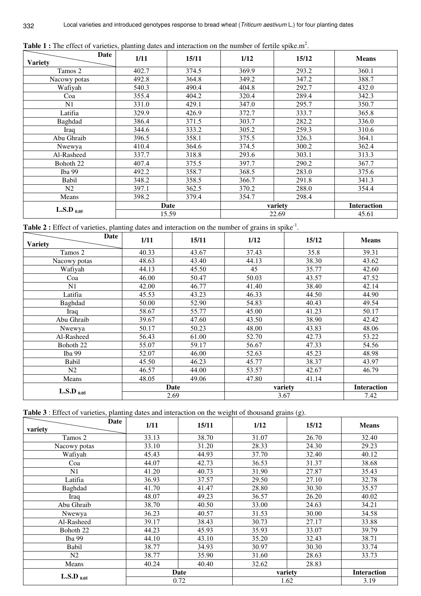| Date            | 1/11  | 15/11 | 1/12    | 15/12 | <b>Means</b>       |
|-----------------|-------|-------|---------|-------|--------------------|
| <b>Variety</b>  |       |       |         |       |                    |
| Tamos 2         | 402.7 | 374.5 | 369.9   | 293.2 | 360.1              |
| Nacowy potas    | 492.8 | 364.8 | 349.2   | 347.2 | 388.7              |
| Wafiyah         | 540.3 | 490.4 | 404.8   | 292.7 | 432.0              |
| Coa             | 355.4 | 404.2 | 320.4   | 289.4 | 342.3              |
| N1              | 331.0 | 429.1 | 347.0   | 295.7 | 350.7              |
| Latifia         | 329.9 | 426.9 | 372.7   | 333.7 | 365.8              |
| Baghdad         | 386.4 | 371.5 | 303.7   | 282.2 | 336.0              |
| Iraq            | 344.6 | 333.2 | 305.2   | 259.3 | 310.6              |
| Abu Ghraib      | 396.5 | 358.1 | 375.5   | 326.3 | 364.1              |
| Nwewya          | 410.4 | 364.6 | 374.5   | 300.2 | 362.4              |
| Al-Rasheed      | 337.7 | 318.8 | 293.6   | 303.1 | 313.3              |
| Bohoth 22       | 407.4 | 375.5 | 397.7   | 290.2 | 367.7              |
| Iba 99          | 492.2 | 358.7 | 368.5   | 283.0 | 375.6              |
| Babil           | 348.2 | 358.5 | 366.7   | 291.8 | 341.3              |
| N <sub>2</sub>  | 397.1 | 362.5 | 370.2   | 288.0 | 354.4              |
| Means           | 398.2 | 379.4 | 354.7   | 298.4 |                    |
|                 | Date  |       | variety |       | <b>Interaction</b> |
| L.S.D $_{0.05}$ | 15.59 |       | 22.69   |       | 45.61              |

Table 1 : The effect of varieties, planting dates and interaction on the number of fertile spike.m<sup>2</sup>.

332

Table 2 : Effect of varieties, planting dates and interaction on the number of grains in spike<sup>-1</sup>.

| Date                 | 1/11  | 15/11 | 1/12    | 15/12 | <b>Means</b>       |
|----------------------|-------|-------|---------|-------|--------------------|
| <b>Variety</b>       |       |       |         |       |                    |
| Tamos 2              | 40.33 | 43.67 | 37.43   | 35.8  | 39.31              |
| Nacowy potas         | 48.63 | 43.40 | 44.13   | 38.30 | 43.62              |
| Wafiyah              | 44.13 | 45.50 | 45      | 35.77 | 42.60              |
| Coa                  | 46.00 | 50.47 | 50.03   | 43.57 | 47.52              |
| N1                   | 42.00 | 46.77 | 41.40   | 38.40 | 42.14              |
| Latifia              | 45.53 | 43.23 | 46.33   | 44.50 | 44.90              |
| Baghdad              | 50.00 | 52.90 | 54.83   | 40.43 | 49.54              |
| Iraq                 | 58.67 | 55.77 | 45.00   | 41.23 | 50.17              |
| Abu Ghraib           | 39.67 | 47.60 | 43.50   | 38.90 | 42.42              |
| Nwewya               | 50.17 | 50.23 | 48.00   | 43.83 | 48.06              |
| Al-Rasheed           | 56.43 | 61.00 | 52.70   | 42.73 | 53.22              |
| Bohoth <sub>22</sub> | 55.07 | 59.17 | 56.67   | 47.33 | 54.56              |
| Iba 99               | 52.07 | 46.00 | 52.63   | 45.23 | 48.98              |
| Babil                | 45.50 | 46.23 | 45.77   | 38.37 | 43.97              |
| N2                   | 46.57 | 44.00 | 53.57   | 42.67 | 46.79              |
| Means                | 48.05 | 49.06 | 47.80   | 41.14 |                    |
| L.S.D $_{0.05}$      | Date  |       | variety |       | <b>Interaction</b> |
|                      |       | 2.69  |         | 3.67  | 7.42               |

| Table 3 : Effect of varieties, planting dates and interaction on the weight of thousand grains (g). |  |
|-----------------------------------------------------------------------------------------------------|--|
|-----------------------------------------------------------------------------------------------------|--|

| Date<br>variety | 1/11  | 15/11 | 1/12    | 15/12 | <b>Means</b>       |
|-----------------|-------|-------|---------|-------|--------------------|
| Tamos 2         | 33.13 | 38.70 | 31.07   | 26.70 | 32.40              |
| Nacowy potas    | 33.10 | 31.20 | 28.33   | 24.30 | 29.23              |
| Wafiyah         | 45.43 | 44.93 | 37.70   | 32.40 | 40.12              |
| Coa             | 44.07 | 42.73 | 36.53   | 31.37 | 38.68              |
| N1              | 41.20 | 40.73 | 31.90   | 27.87 | 35.43              |
| Latifia         | 36.93 | 37.57 | 29.50   | 27.10 | 32.78              |
| Baghdad         | 41.70 | 41.47 | 28.80   | 30.30 | 35.57              |
| Iraq            | 48.07 | 49.23 | 36.57   | 26.20 | 40.02              |
| Abu Ghraib      | 38.70 | 40.50 | 33.00   | 24.63 | 34.21              |
| Nwewya          | 36.23 | 40.57 | 31.53   | 30.00 | 34.58              |
| Al-Rasheed      | 39.17 | 38.43 | 30.73   | 27.17 | 33.88              |
| Bohoth 22       | 44.23 | 45.93 | 35.93   | 33.07 | 39.79              |
| Iba 99          | 44.10 | 43.10 | 35.20   | 32.43 | 38.71              |
| Babil           | 38.77 | 34.93 | 30.97   | 30.30 | 33.74              |
| N2              | 38.77 | 35.90 | 31.60   | 28.63 | 33.73              |
| Means           | 40.24 | 40.40 | 32.62   | 28.83 |                    |
| L.S.D $_{0.05}$ | Date  |       | variety |       | <b>Interaction</b> |
|                 | 0.72  |       | 1.62    |       | 3.19               |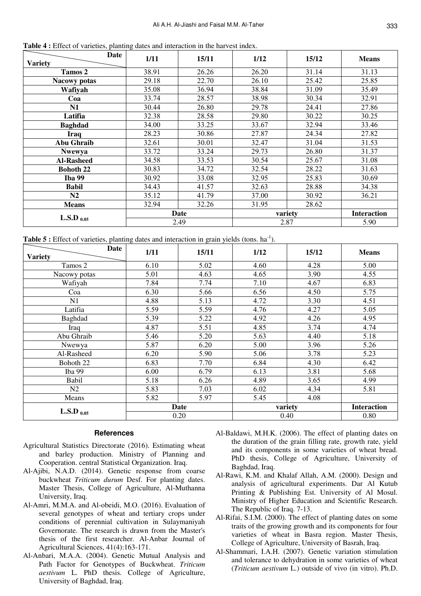**Table 4 :** Effect of varieties, planting dates and interaction in the harvest index.

| Date                | 1/11  | 15/11 | 1/12    | 15/12 | <b>Means</b>       |
|---------------------|-------|-------|---------|-------|--------------------|
| <b>Variety</b>      |       |       |         |       |                    |
| Tamos 2             | 38.91 | 26.26 | 26.20   | 31.14 | 31.13              |
| <b>Nacowy potas</b> | 29.18 | 22.70 | 26.10   | 25.42 | 25.85              |
| Wafiyah             | 35.08 | 36.94 | 38.84   | 31.09 | 35.49              |
| Coa                 | 33.74 | 28.57 | 38.98   | 30.34 | 32.91              |
| N1                  | 30.44 | 26.80 | 29.78   | 24.41 | 27.86              |
| Latifia             | 32.38 | 28.58 | 29.80   | 30.22 | 30.25              |
| <b>Baghdad</b>      | 34.00 | 33.25 | 33.67   | 32.94 | 33.46              |
| <b>Iraq</b>         | 28.23 | 30.86 | 27.87   | 24.34 | 27.82              |
| <b>Abu Ghraib</b>   | 32.61 | 30.01 | 32.47   | 31.04 | 31.53              |
| <b>Nwewya</b>       | 33.72 | 33.24 | 29.73   | 26.80 | 31.37              |
| <b>Al-Rasheed</b>   | 34.58 | 33.53 | 30.54   | 25.67 | 31.08              |
| <b>Bohoth 22</b>    | 30.83 | 34.72 | 32.54   | 28.22 | 31.63              |
| <b>Iba 99</b>       | 30.92 | 33.08 | 32.95   | 25.83 | 30.69              |
| <b>Babil</b>        | 34.43 | 41.57 | 32.63   | 28.88 | 34.38              |
| N2                  | 35.12 | 41.79 | 37.00   | 30.92 | 36.21              |
| <b>Means</b>        | 32.94 | 32.26 | 31.95   | 28.62 |                    |
|                     | Date  |       | variety |       | <b>Interaction</b> |
| L.S.D $_{0.05}$     |       | 2.49  | 2.87    |       | 5.90               |

**Table 5 :** Effect of varieties, planting dates and interaction in grain yields (tons. ha<sup>-1</sup>).

| <b>Date</b>     | 1/11 | 15/11 | 1/12    | 15/12 | <b>Means</b>       |
|-----------------|------|-------|---------|-------|--------------------|
| <b>Variety</b>  |      |       |         |       |                    |
| Tamos 2         | 6.10 | 5.02  | 4.60    | 4.28  | 5.00               |
| Nacowy potas    | 5.01 | 4.63  | 4.65    | 3.90  | 4.55               |
| Wafiyah         | 7.84 | 7.74  | 7.10    | 4.67  | 6.83               |
| Coa             | 6.30 | 5.66  | 6.56    | 4.50  | 5.75               |
| N1              | 4.88 | 5.13  | 4.72    | 3.30  | 4.51               |
| Latifia         | 5.59 | 5.59  | 4.76    | 4.27  | 5.05               |
| Baghdad         | 5.39 | 5.22  | 4.92    | 4.26  | 4.95               |
| Iraq            | 4.87 | 5.51  | 4.85    | 3.74  | 4.74               |
| Abu Ghraib      | 5.46 | 5.20  | 5.63    | 4.40  | 5.18               |
| Nwewya          | 5.87 | 6.20  | 5.00    | 3.96  | 5.26               |
| Al-Rasheed      | 6.20 | 5.90  | 5.06    | 3.78  | 5.23               |
| Bohoth 22       | 6.83 | 7.70  | 6.84    | 4.30  | 6.42               |
| Iba 99          | 6.00 | 6.79  | 6.13    | 3.81  | 5.68               |
| Babil           | 5.18 | 6.26  | 4.89    | 3.65  | 4.99               |
| N2              | 5.83 | 7.03  | 6.02    | 4.34  | 5.81               |
| Means           | 5.82 | 5.97  | 5.45    | 4.08  |                    |
|                 | Date |       | variety |       | <b>Interaction</b> |
| L.S.D $_{0.05}$ | 0.20 |       | 0.40    |       | 0.80               |

# **References**

- Agricultural Statistics Directorate (2016). Estimating wheat and barley production. Ministry of Planning and Cooperation. central Statistical Organization. Iraq.
- Al-Ajibi, N.A.D. (2014). Genetic response from coarse buckwheat *Triticum durum* Desf. For planting dates. Master Thesis, College of Agriculture, Al-Muthanna University, Iraq.
- Al-Amri, M.M.A. and Al-obeidi, M.O. (2016). Evaluation of several genotypes of wheat and tertiary crops under conditions of perennial cultivation in Sulaymaniyah Governorate. The research is drawn from the Master's thesis of the first researcher. Al-Anbar Journal of Agricultural Sciences, 41(4):163-171.
- Al-Anbari, M.A.A. (2004). Genetic Mutual Analysis and Path Factor for Genotypes of Buckwheat. *Triticum aestivum* L. PhD thesis. College of Agriculture, University of Baghdad, Iraq.
- Al-Baldawi, M.H.K. (2006). The effect of planting dates on the duration of the grain filling rate, growth rate, yield and its components in some varieties of wheat bread. PhD thesis, College of Agriculture, University of Baghdad, Iraq.
- Al-Rawi, K.M. and Khalaf Allah, A.M. (2000). Design and analysis of agricultural experiments. Dar Al Kutub Printing & Publishing Est. University of Al Mosul. Ministry of Higher Education and Scientific Research. The Republic of Iraq. 7-13.
- Al-Rifai, S.I.M. (2000). The effect of planting dates on some traits of the growing growth and its components for four varieties of wheat in Basra region. Master Thesis, College of Agriculture, University of Basrah, Iraq.
- Al-Shammari, I.A.H. (2007). Genetic variation stimulation and tolerance to dehydration in some varieties of wheat (*Triticum aestivum* L.) outside of vivo (in vitro). Ph.D.